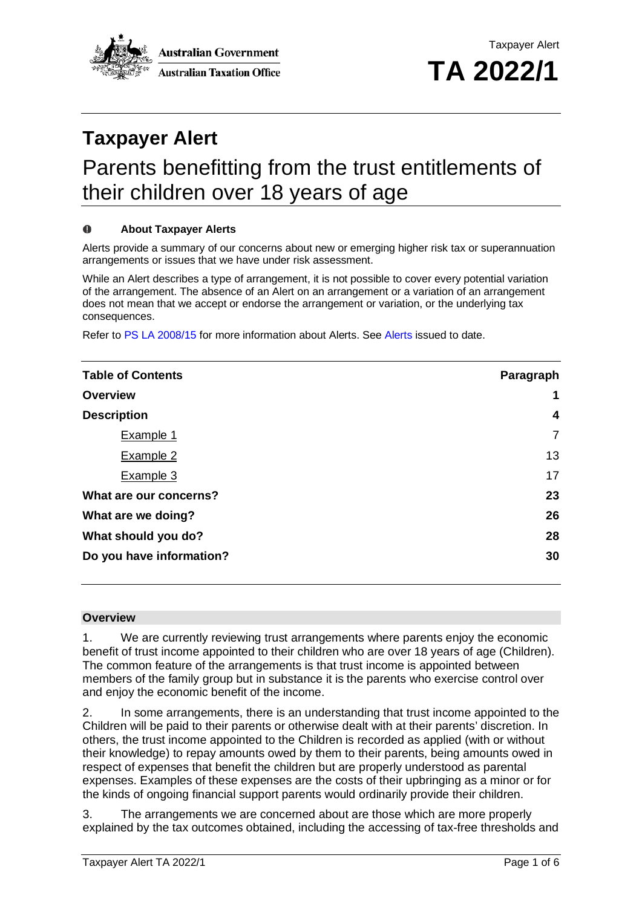

# **Taxpayer Alert**

## Parents benefitting from the trust entitlements of their children over 18 years of age

#### $\bf{0}$ **About Taxpayer Alerts**

Alerts provide a summary of our concerns about new or emerging higher risk tax or superannuation arrangements or issues that we have under risk assessment.

While an Alert describes a type of arrangement, it is not possible to cover every potential variation of the arrangement. The absence of an Alert on an arrangement or a variation of an arrangement does not mean that we accept or endorse the arrangement or variation, or the underlying tax consequences.

Refer to PS LA [2008/15](http://ato.gov.au/law/view/document?DocID=PSR/PS200815/NAT/ATO/00001) for more information about Alerts. See [Alerts](https://www.ato.gov.au/Law/#Law/table-of-contents?category=ZG) issued to date.

| <b>Table of Contents</b> | Paragraph      |
|--------------------------|----------------|
| Overview                 | 1              |
| <b>Description</b>       | 4              |
| Example 1                | $\overline{7}$ |
| Example 2                | 13             |
| Example 3                | 17             |
| What are our concerns?   | 23             |
| What are we doing?       | 26             |
| What should you do?      | 28             |
| Do you have information? | 30             |

#### **Overview**

1. We are currently reviewing trust arrangements where parents enjoy the economic benefit of trust income appointed to their children who are over 18 years of age (Children). The common feature of the arrangements is that trust income is appointed between members of the family group but in substance it is the parents who exercise control over and eniov the economic benefit of the income.

2. In some arrangements, there is an understanding that trust income appointed to the Children will be paid to their parents or otherwise dealt with at their parents' discretion. In others, the trust income appointed to the Children is recorded as applied (with or without their knowledge) to repay amounts owed by them to their parents, being amounts owed in respect of expenses that benefit the children but are properly understood as parental expenses. Examples of these expenses are the costs of their upbringing as a minor or for the kinds of ongoing financial support parents would ordinarily provide their children.

3. The arrangements we are concerned about are those which are more properly explained by the tax outcomes obtained, including the accessing of tax-free thresholds and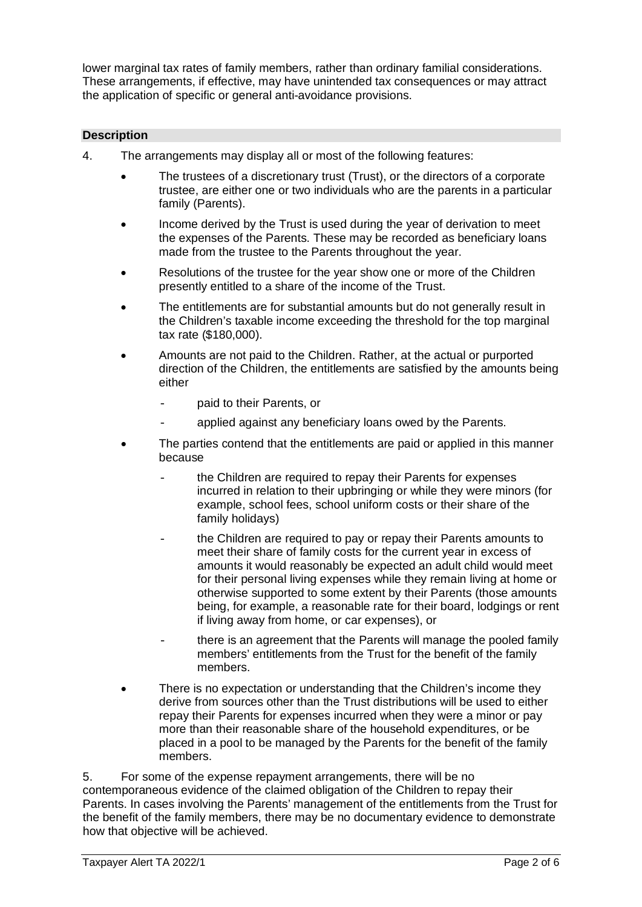lower marginal tax rates of family members, rather than ordinary familial considerations. These arrangements, if effective, may have unintended tax consequences or may attract the application of specific or general anti-avoidance provisions.

#### **Description**

- 4. The arrangements may display all or most of the following features:
	- The trustees of a discretionary trust (Trust), or the directors of a corporate trustee, are either one or two individuals who are the parents in a particular family (Parents).
	- Income derived by the Trust is used during the year of derivation to meet the expenses of the Parents. These may be recorded as beneficiary loans made from the trustee to the Parents throughout the year.
	- Resolutions of the trustee for the year show one or more of the Children presently entitled to a share of the income of the Trust.
	- The entitlements are for substantial amounts but do not generally result in the Children's taxable income exceeding the threshold for the top marginal tax rate (\$180,000).
	- Amounts are not paid to the Children. Rather, at the actual or purported direction of the Children, the entitlements are satisfied by the amounts being either
		- paid to their Parents, or
		- applied against any beneficiary loans owed by the Parents.
	- The parties contend that the entitlements are paid or applied in this manner because
		- the Children are required to repay their Parents for expenses incurred in relation to their upbringing or while they were minors (for example, school fees, school uniform costs or their share of the family holidays)
		- the Children are required to pay or repay their Parents amounts to meet their share of family costs for the current year in excess of amounts it would reasonably be expected an adult child would meet for their personal living expenses while they remain living at home or otherwise supported to some extent by their Parents (those amounts being, for example, a reasonable rate for their board, lodgings or rent if living away from home, or car expenses), or
		- there is an agreement that the Parents will manage the pooled family members' entitlements from the Trust for the benefit of the family members.
	- There is no expectation or understanding that the Children's income they derive from sources other than the Trust distributions will be used to either repay their Parents for expenses incurred when they were a minor or pay more than their reasonable share of the household expenditures, or be placed in a pool to be managed by the Parents for the benefit of the family members.

5. For some of the expense repayment arrangements, there will be no contemporaneous evidence of the claimed obligation of the Children to repay their Parents. In cases involving the Parents' management of the entitlements from the Trust for the benefit of the family members, there may be no documentary evidence to demonstrate how that objective will be achieved.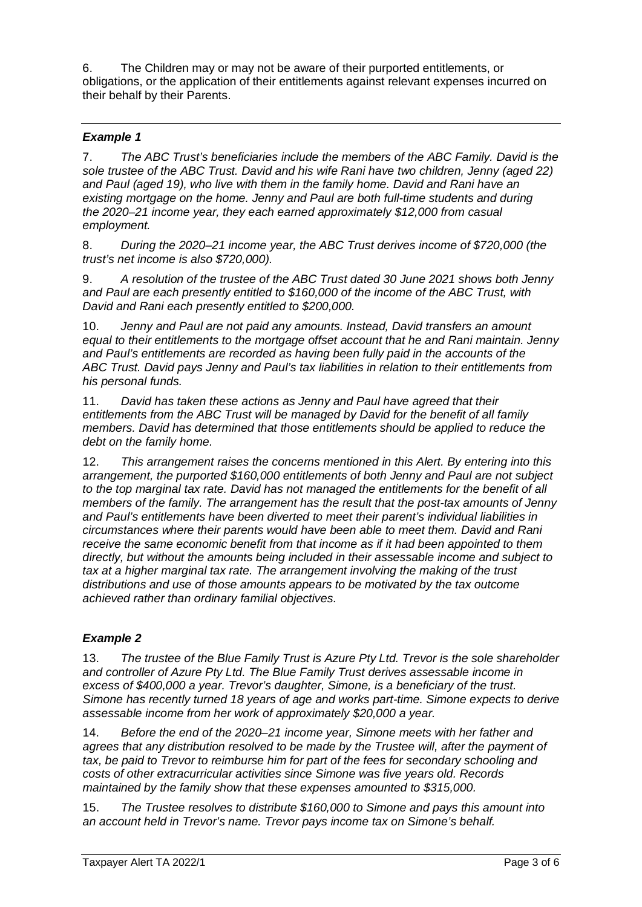6. The Children may or may not be aware of their purported entitlements, or obligations, or the application of their entitlements against relevant expenses incurred on their behalf by their Parents.

#### *Example 1*

7. *The ABC Trust's beneficiaries include the members of the ABC Family. David is the sole trustee of the ABC Trust. David and his wife Rani have two children, Jenny (aged 22) and Paul (aged 19), who live with them in the family home. David and Rani have an existing mortgage on the home. Jenny and Paul are both full-time students and during the 2020*–*21 income year, they each earned approximately \$12,000 from casual employment.*

8. *During the 2020–21 income year, the ABC Trust derives income of \$720,000 (the trust's net income is also \$720,000).*

9. *A resolution of the trustee of the ABC Trust dated 30 June 2021 shows both Jenny and Paul are each presently entitled to \$160,000 of the income of the ABC Trust, with David and Rani each presently entitled to \$200,000.*

10. *Jenny and Paul are not paid any amounts. Instead, David transfers an amount equal to their entitlements to the mortgage offset account that he and Rani maintain. Jenny and Paul's entitlements are recorded as having been fully paid in the accounts of the ABC Trust. David pays Jenny and Paul's tax liabilities in relation to their entitlements from his personal funds.*

11. *David has taken these actions as Jenny and Paul have agreed that their entitlements from the ABC Trust will be managed by David for the benefit of all family members. David has determined that those entitlements should be applied to reduce the debt on the family home.*

12. *This arrangement raises the concerns mentioned in this Alert. By entering into this arrangement, the purported \$160,000 entitlements of both Jenny and Paul are not subject to the top marginal tax rate. David has not managed the entitlements for the benefit of all members of the family. The arrangement has the result that the post-tax amounts of Jenny and Paul's entitlements have been diverted to meet their parent's individual liabilities in circumstances where their parents would have been able to meet them. David and Rani receive the same economic benefit from that income as if it had been appointed to them directly, but without the amounts being included in their assessable income and subject to tax at a higher marginal tax rate. The arrangement involving the making of the trust distributions and use of those amounts appears to be motivated by the tax outcome achieved rather than ordinary familial objectives.*

#### *Example 2*

13. *The trustee of the Blue Family Trust is Azure Pty Ltd. Trevor is the sole shareholder and controller of Azure Pty Ltd. The Blue Family Trust derives assessable income in excess of \$400,000 a year. Trevor's daughter, Simone, is a beneficiary of the trust. Simone has recently turned 18 years of age and works part-time. Simone expects to derive assessable income from her work of approximately \$20,000 a year.*

14. *Before the end of the 2020–21 income year, Simone meets with her father and agrees that any distribution resolved to be made by the Trustee will, after the payment of tax, be paid to Trevor to reimburse him for part of the fees for secondary schooling and costs of other extracurricular activities since Simone was five years old. Records maintained by the family show that these expenses amounted to \$315,000.*

15. *The Trustee resolves to distribute \$160,000 to Simone and pays this amount into an account held in Trevor's name. Trevor pays income tax on Simone's behalf.*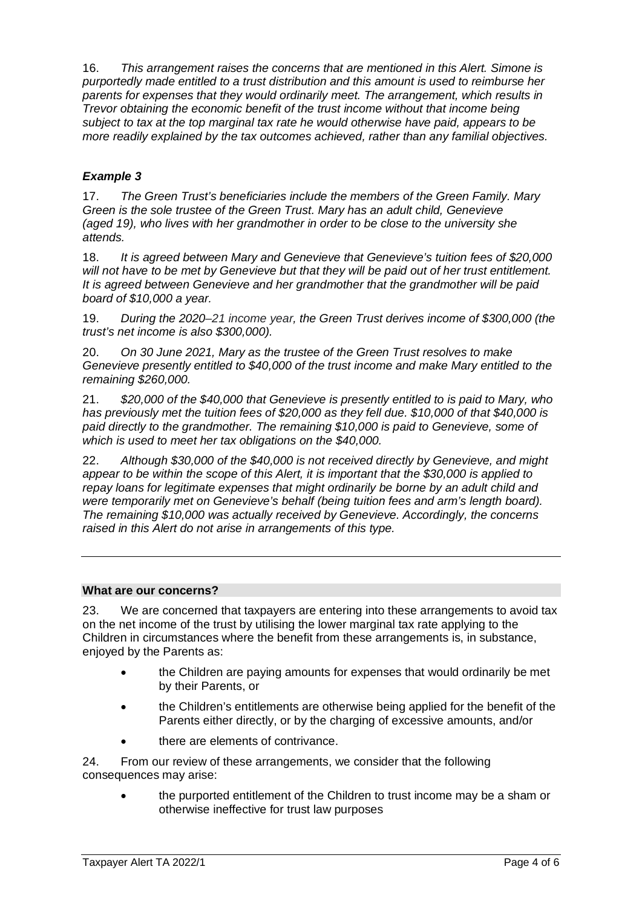16. *This arrangement raises the concerns that are mentioned in this Alert. Simone is purportedly made entitled to a trust distribution and this amount is used to reimburse her parents for expenses that they would ordinarily meet. The arrangement, which results in Trevor obtaining the economic benefit of the trust income without that income being subject to tax at the top marginal tax rate he would otherwise have paid, appears to be more readily explained by the tax outcomes achieved, rather than any familial objectives.*

#### *Example 3*

17. *The Green Trust's beneficiaries include the members of the Green Family. Mary Green is the sole trustee of the Green Trust. Mary has an adult child, Genevieve (aged 19), who lives with her grandmother in order to be close to the university she attends.*

18. *It is agreed between Mary and Genevieve that Genevieve's tuition fees of \$20,000 will not have to be met by Genevieve but that they will be paid out of her trust entitlement. It is agreed between Genevieve and her grandmother that the grandmother will be paid board of \$10,000 a year.*

19. *During the 2020–21 income year, the Green Trust derives income of \$300,000 (the trust's net income is also \$300,000).*

20. *On 30 June 2021, Mary as the trustee of the Green Trust resolves to make Genevieve presently entitled to \$40,000 of the trust income and make Mary entitled to the remaining \$260,000.*

21. *\$20,000 of the \$40,000 that Genevieve is presently entitled to is paid to Mary, who has previously met the tuition fees of \$20,000 as they fell due. \$10,000 of that \$40,000 is paid directly to the grandmother. The remaining \$10,000 is paid to Genevieve, some of which is used to meet her tax obligations on the \$40,000.*

22. *Although \$30,000 of the \$40,000 is not received directly by Genevieve, and might appear to be within the scope of this Alert, it is important that the \$30,000 is applied to repay loans for legitimate expenses that might ordinarily be borne by an adult child and were temporarily met on Genevieve's behalf (being tuition fees and arm's length board). The remaining \$10,000 was actually received by Genevieve. Accordingly, the concerns raised in this Alert do not arise in arrangements of this type.*

#### **What are our concerns?**

23. We are concerned that taxpayers are entering into these arrangements to avoid tax on the net income of the trust by utilising the lower marginal tax rate applying to the Children in circumstances where the benefit from these arrangements is, in substance, enjoyed by the Parents as:

- the Children are paying amounts for expenses that would ordinarily be met by their Parents, or
- the Children's entitlements are otherwise being applied for the benefit of the Parents either directly, or by the charging of excessive amounts, and/or
- there are elements of contrivance.

24. From our review of these arrangements, we consider that the following consequences may arise:

• the purported entitlement of the Children to trust income may be a sham or otherwise ineffective for trust law purposes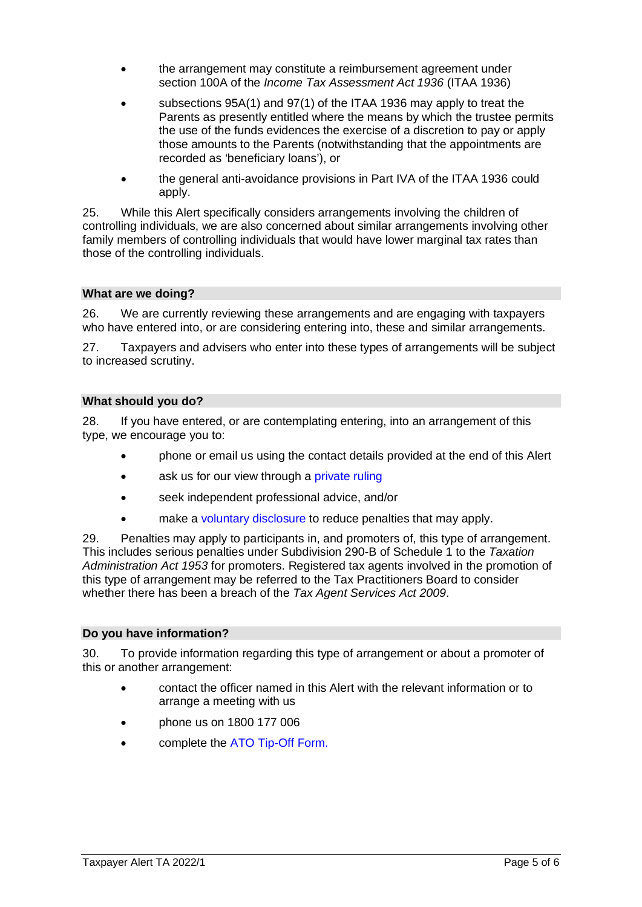- the arrangement may constitute a reimbursement agreement under section 100A of the *Income Tax Assessment Act 1936* (ITAA 1936)
- subsections 95A(1) and 97(1) of the ITAA 1936 may apply to treat the Parents as presently entitled where the means by which the trustee permits the use of the funds evidences the exercise of a discretion to pay or apply those amounts to the Parents (notwithstanding that the appointments are recorded as 'beneficiary loans'), or
- the general anti-avoidance provisions in Part IVA of the ITAA 1936 could apply.

25. While this Alert specifically considers arrangements involving the children of controlling individuals, we are also concerned about similar arrangements involving other family members of controlling individuals that would have lower marginal tax rates than those of the controlling individuals.

#### **What are we doing?**

26. We are currently reviewing these arrangements and are engaging with taxpayers who have entered into, or are considering entering into, these and similar arrangements.

27. Taxpayers and advisers who enter into these types of arrangements will be subject to increased scrutiny.

#### **What should you do?**

28. If you have entered, or are contemplating entering, into an arrangement of this type, we encourage you to:

- phone or email us using the contact details provided at the end of this Alert
- ask us for our view through a [private ruling](https://www.ato.gov.au/General/ATO-advice-and-guidance/ATO-advice-products-%28rulings%29/Private-rulings/)
- seek independent professional advice, and/or
- make a [voluntary disclosure](https://www.ato.gov.au/Forms/Voluntary-disclosures-in-the-approved-form/?anchor=Howtomakeavoluntarydisclosure#Howtomakeavoluntarydisclosure) to reduce penalties that may apply.

29. Penalties may apply to participants in, and promoters of, this type of arrangement. This includes serious penalties under Subdivision 290-B of Schedule 1 to the *Taxation Administration Act 1953* for promoters. Registered tax agents involved in the promotion of this type of arrangement may be referred to the Tax Practitioners Board to consider whether there has been a breach of the *Tax Agent Services Act 2009*.

#### **Do you have information?**

30. To provide information regarding this type of arrangement or about a promoter of this or another arrangement:

- contact the officer named in this Alert with the relevant information or to arrange a meeting with us
- phone us on 1800 177 006
- complete the [ATO Tip-Off Form.](https://www.ato.gov.au/tipoffform/#LandingPage)